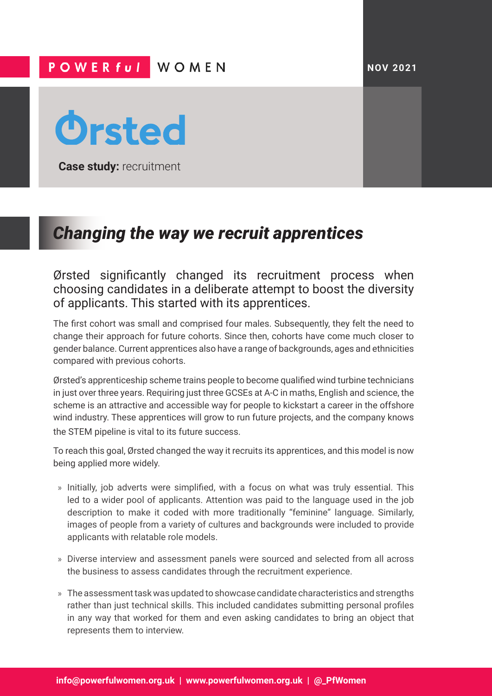## POWER ful WOMEN



**Case study:** recruitment

# *Changing the way we recruit apprentices*

Ørsted significantly changed its recruitment process when choosing candidates in a deliberate attempt to boost the diversity of applicants. This started with its apprentices.

The first cohort was small and comprised four males. Subsequently, they felt the need to change their approach for future cohorts. Since then, cohorts have come much closer to gender balance. Current apprentices also have a range of backgrounds, ages and ethnicities compared with previous cohorts.

Ørsted's apprenticeship scheme trains people to become qualified wind turbine technicians in just over three years. Requiring just three GCSEs at A-C in maths, English and science, the scheme is an attractive and accessible way for people to kickstart a career in the offshore wind industry. These apprentices will grow to run future projects, and the company knows the STEM pipeline is vital to its future success.

To reach this goal, Ørsted changed the way it recruits its apprentices, and this model is now being applied more widely.

- » Initially, job adverts were simplified, with a focus on what was truly essential. This led to a wider pool of applicants. Attention was paid to the language used in the job description to make it coded with more traditionally "feminine" language. Similarly, images of people from a variety of cultures and backgrounds were included to provide applicants with relatable role models.
- » Diverse interview and assessment panels were sourced and selected from all across the business to assess candidates through the recruitment experience.
- » The assessment task was updated to showcase candidate characteristics and strengths rather than just technical skills. This included candidates submitting personal profiles in any way that worked for them and even asking candidates to bring an object that represents them to interview.